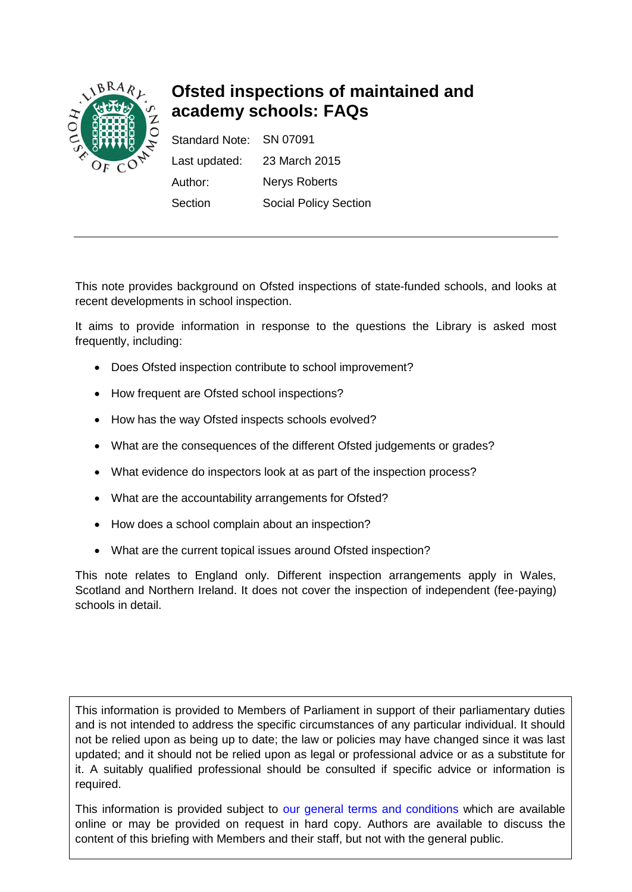

# **Ofsted inspections of maintained and academy schools: FAQs**

Standard Note: SN 07091 Last updated: 23 March 2015 Author: Nerys Roberts Section Social Policy Section

This note provides background on Ofsted inspections of state-funded schools, and looks at recent developments in school inspection.

It aims to provide information in response to the questions the Library is asked most frequently, including:

- Does Ofsted inspection contribute to school improvement?
- How frequent are Ofsted school inspections?
- How has the way Ofsted inspects schools evolved?
- What are the consequences of the different Ofsted judgements or grades?
- What evidence do inspectors look at as part of the inspection process?
- What are the accountability arrangements for Ofsted?
- How does a school complain about an inspection?
- What are the current topical issues around Ofsted inspection?

This note relates to England only. Different inspection arrangements apply in Wales, Scotland and Northern Ireland. It does not cover the inspection of independent (fee-paying) schools in detail.

This information is provided to Members of Parliament in support of their parliamentary duties and is not intended to address the specific circumstances of any particular individual. It should not be relied upon as being up to date; the law or policies may have changed since it was last updated; and it should not be relied upon as legal or professional advice or as a substitute for it. A suitably qualified professional should be consulted if specific advice or information is required.

This information is provided subject to [our general terms and conditions](http://www.parliament.uk/site-information/copyright/) which are available online or may be provided on request in hard copy. Authors are available to discuss the content of this briefing with Members and their staff, but not with the general public.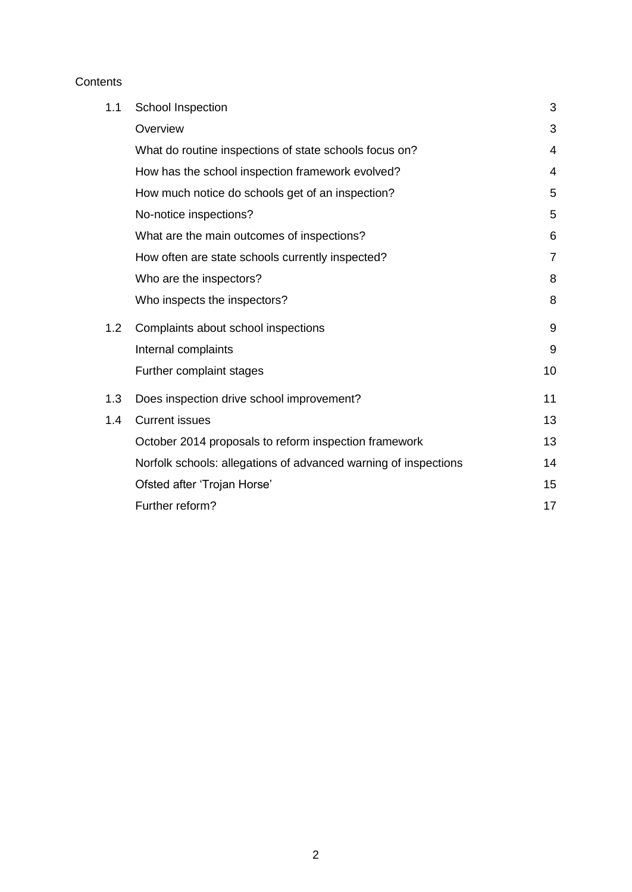# **Contents**

| 1.1 | School Inspection                                               | 3              |
|-----|-----------------------------------------------------------------|----------------|
|     | Overview                                                        | 3              |
|     | What do routine inspections of state schools focus on?          | 4              |
|     | How has the school inspection framework evolved?                | 4              |
|     | How much notice do schools get of an inspection?                | 5              |
|     | No-notice inspections?                                          | 5              |
|     | What are the main outcomes of inspections?                      | 6              |
|     | How often are state schools currently inspected?                | $\overline{7}$ |
|     | Who are the inspectors?                                         | 8              |
|     | Who inspects the inspectors?                                    | 8              |
| 1.2 | Complaints about school inspections                             | 9              |
|     | Internal complaints                                             | 9              |
|     | Further complaint stages                                        | 10             |
| 1.3 | Does inspection drive school improvement?                       | 11             |
| 1.4 | <b>Current issues</b>                                           | 13             |
|     | October 2014 proposals to reform inspection framework           | 13             |
|     | Norfolk schools: allegations of advanced warning of inspections | 14             |
|     | Ofsted after 'Trojan Horse'                                     | 15             |
|     | Further reform?                                                 | 17             |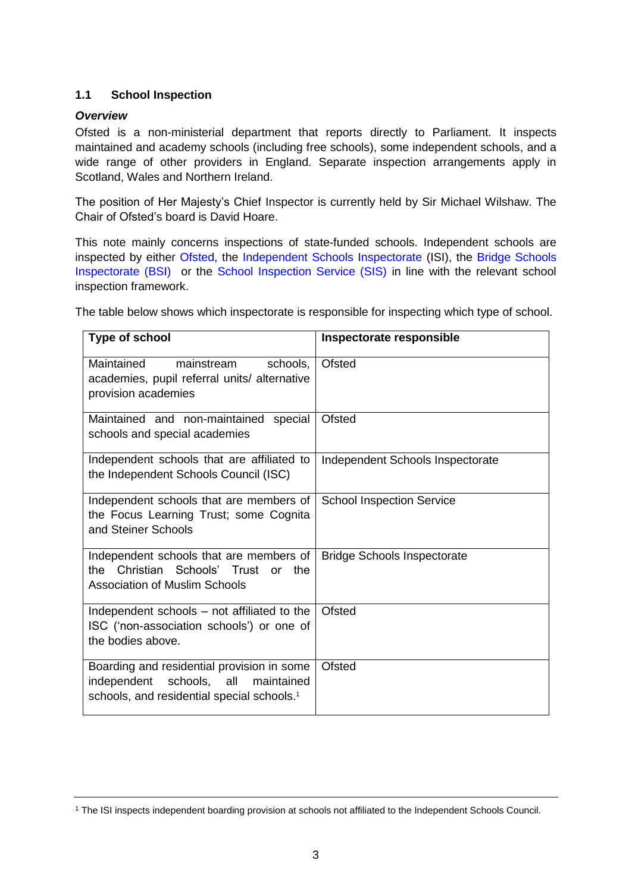# <span id="page-2-0"></span>**1.1 School Inspection**

# <span id="page-2-1"></span>*Overview*

Ofsted is a non-ministerial department that reports directly to Parliament. It inspects maintained and academy schools (including free schools), some independent schools, and a wide range of other providers in England. Separate inspection arrangements apply in Scotland, Wales and Northern Ireland.

The position of Her Majesty's Chief Inspector is currently held by Sir Michael Wilshaw. The Chair of Ofsted's board is David Hoare.

This note mainly concerns inspections of state-funded schools. Independent schools are inspected by either [Ofsted,](https://www.gov.uk/government/organisations/ofsted) the [Independent Schools Inspectorate](http://www.isi.net/home/) (ISI), the [Bridge Schools](http://www.bridgeschoolsinspectorate.co.uk/home)  [Inspectorate \(BSI\)](http://www.bridgeschoolsinspectorate.co.uk/home) or the [School Inspection Service \(SIS\)](http://www.schoolinspectionservice.co.uk/new/home.html) in line with the relevant school inspection framework.

The table below shows which inspectorate is responsible for inspecting which type of school.

| Type of school                                                                                                                                    | Inspectorate responsible           |  |
|---------------------------------------------------------------------------------------------------------------------------------------------------|------------------------------------|--|
| Maintained<br>mainstream<br>schools,<br>academies, pupil referral units/ alternative<br>provision academies                                       | Ofsted                             |  |
| Maintained and non-maintained special<br>schools and special academies                                                                            | Ofsted                             |  |
| Independent schools that are affiliated to<br>the Independent Schools Council (ISC)                                                               | Independent Schools Inspectorate   |  |
| Independent schools that are members of<br>the Focus Learning Trust; some Cognita<br>and Steiner Schools                                          | <b>School Inspection Service</b>   |  |
| Independent schools that are members of<br>the Christian Schools' Trust or<br>the.<br><b>Association of Muslim Schools</b>                        | <b>Bridge Schools Inspectorate</b> |  |
| Independent schools – not affiliated to the<br>ISC ('non-association schools') or one of<br>the bodies above.                                     | Ofsted                             |  |
| Boarding and residential provision in some<br>schools, all<br>independent<br>maintained<br>schools, and residential special schools. <sup>1</sup> | Ofsted                             |  |

<sup>1</sup> The ISI inspects independent boarding provision at schools not affiliated to the Independent Schools Council.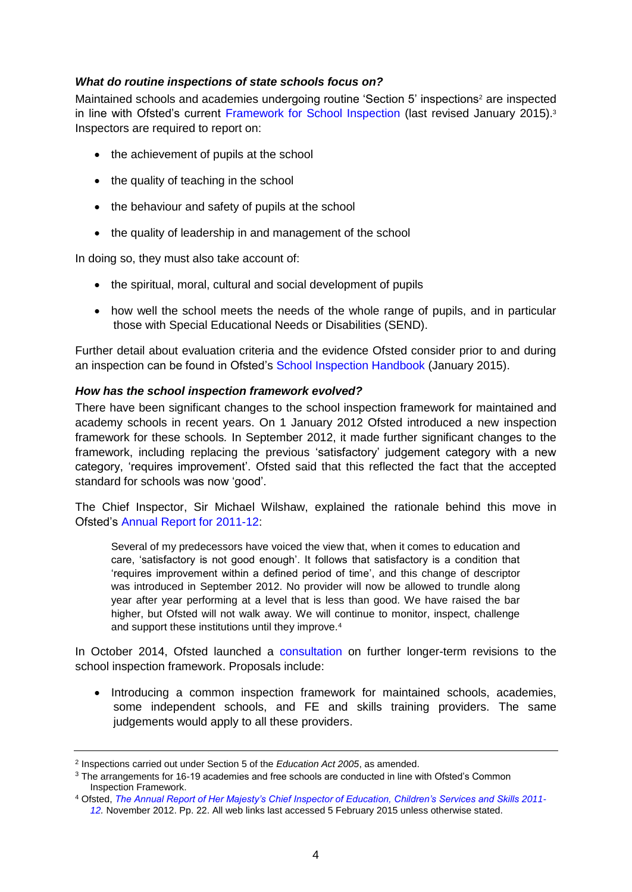# <span id="page-3-0"></span>*What do routine inspections of state schools focus on?*

Maintained schools and academies undergoing routine 'Section 5' inspections<sup>2</sup> are inspected in line with Ofsted's current [Framework for School Inspection](https://www.gov.uk/government/publications/the-framework-for-school-inspection) (last revised January 2015).<sup>3</sup> Inspectors are required to report on:

- the achievement of pupils at the school
- the quality of teaching in the school
- the behaviour and safety of pupils at the school
- the quality of leadership in and management of the school

In doing so, they must also take account of:

- the spiritual, moral, cultural and social development of pupils
- how well the school meets the needs of the whole range of pupils, and in particular those with Special Educational Needs or Disabilities (SEND).

Further detail about evaluation criteria and the evidence Ofsted consider prior to and during an inspection can be found in Ofsted's [School Inspection Handbook](https://www.gov.uk/government/publications/school-inspection-handbook) (January 2015).

## <span id="page-3-1"></span>*How has the school inspection framework evolved?*

There have been significant changes to the school inspection framework for maintained and academy schools in recent years. On 1 January 2012 Ofsted introduced a new inspection framework for these schools*.* In September 2012, it made further significant changes to the framework, including replacing the previous 'satisfactory' judgement category with a new category, 'requires improvement'. Ofsted said that this reflected the fact that the accepted standard for schools was now 'good'.

The Chief Inspector, Sir Michael Wilshaw, explained the rationale behind this move in Ofsted's [Annual Report for 2011-12:](https://www.gov.uk/government/publications/the-annual-report-of-her-majestys-chief-inspector-of-education-childrens-services-and-skills-201112)

Several of my predecessors have voiced the view that, when it comes to education and care, 'satisfactory is not good enough'. It follows that satisfactory is a condition that 'requires improvement within a defined period of time', and this change of descriptor was introduced in September 2012. No provider will now be allowed to trundle along year after year performing at a level that is less than good. We have raised the bar higher, but Ofsted will not walk away. We will continue to monitor, inspect, challenge and support these institutions until they improve.<sup>4</sup>

In October 2014, Ofsted launched a [consultation](https://www.gov.uk/government/consultations/better-inspection-for-all) on further longer-term revisions to the school inspection framework. Proposals include:

• Introducing a common inspection framework for maintained schools, academies, some independent schools, and FE and skills training providers. The same judgements would apply to all these providers.

<sup>2</sup> Inspections carried out under Section 5 of the *Education Act 2005*, as amended.

<sup>3</sup> The arrangements for 16-19 academies and free schools are conducted in line with Ofsted's Common Inspection Framework.

<sup>4</sup> Ofsted, *[The Annual Report of Her Majesty's Chief Inspector of Education, Children's Services and Skills](https://www.gov.uk/government/uploads/system/uploads/attachment_data/file/379244/The_20Annual_20Report_20of_20Her_20Majesty_27s_20Chief_20Inspector_20of_20Education_2C_20Children_27s_20Services_20and_20Skills_202011-12.pdf) 2011- [12.](https://www.gov.uk/government/uploads/system/uploads/attachment_data/file/379244/The_20Annual_20Report_20of_20Her_20Majesty_27s_20Chief_20Inspector_20of_20Education_2C_20Children_27s_20Services_20and_20Skills_202011-12.pdf)* November 2012. Pp. 22. All web links last accessed 5 February 2015 unless otherwise stated.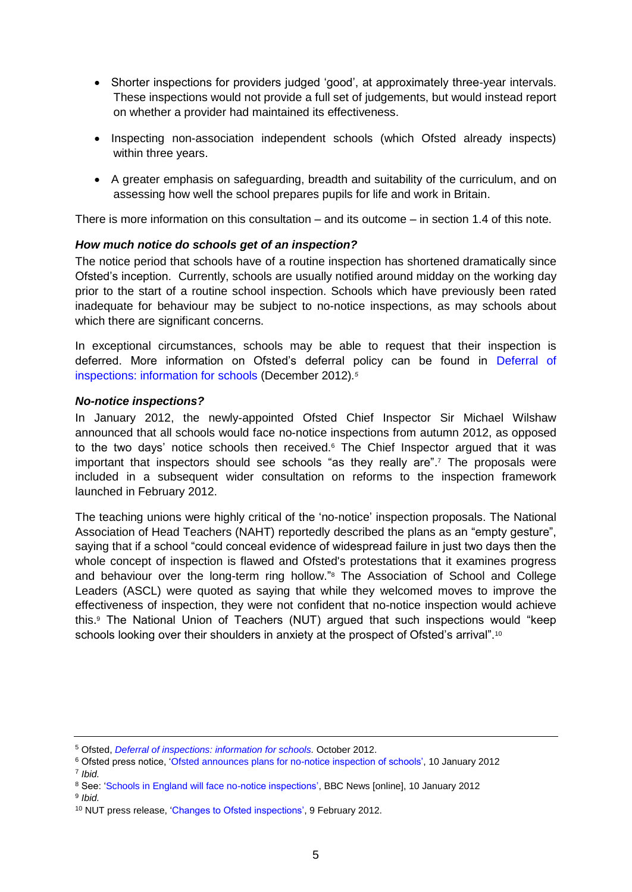- Shorter inspections for providers judged 'good', at approximately three-year intervals. These inspections would not provide a full set of judgements, but would instead report on whether a provider had maintained its effectiveness.
- Inspecting non-association independent schools (which Ofsted already inspects) within three years.
- A greater emphasis on safeguarding, breadth and suitability of the curriculum, and on assessing how well the school prepares pupils for life and work in Britain.

There is more information on this consultation – and its outcome – in section 1.4 of this note.

# <span id="page-4-0"></span>*How much notice do schools get of an inspection?*

The notice period that schools have of a routine inspection has shortened dramatically since Ofsted's inception. Currently, schools are usually notified around midday on the working day prior to the start of a routine school inspection. Schools which have previously been rated inadequate for behaviour may be subject to no-notice inspections, as may schools about which there are significant concerns.

In exceptional circumstances, schools may be able to request that their inspection is deferred. More information on Ofsted's deferral policy can be found in [Deferral of](https://www.gov.uk/government/publications/deferral-of-inspections-information-for-schools)  [inspections: information for schools](https://www.gov.uk/government/publications/deferral-of-inspections-information-for-schools) (December 2012)*. 5*

## <span id="page-4-1"></span>*No-notice inspections?*

In January 2012, the newly-appointed Ofsted Chief Inspector Sir Michael Wilshaw announced that all schools would face no-notice inspections from autumn 2012, as opposed to the two days' notice schools then received. <sup>6</sup> The Chief Inspector argued that it was important that inspectors should see schools "as they really are". <sup>7</sup> The proposals were included in a subsequent wider consultation on reforms to the inspection framework launched in February 2012.

The teaching unions were highly critical of the 'no-notice' inspection proposals. The National Association of Head Teachers (NAHT) reportedly described the plans as an "empty gesture", saying that if a school "could conceal evidence of widespread failure in just two days then the whole concept of inspection is flawed and Ofsted's protestations that it examines progress and behaviour over the long-term ring hollow."<sup>8</sup> The Association of School and College Leaders (ASCL) were quoted as saying that while they welcomed moves to improve the effectiveness of inspection, they were not confident that no-notice inspection would achieve this.<sup>9</sup> The National Union of Teachers (NUT) argued that such inspections would "keep schools looking over their shoulders in anxiety at the prospect of Ofsted's arrival".<sup>10</sup>

<sup>5</sup> Ofsted, *[Deferral of inspections: information for schools.](https://www.gov.uk/government/publications/deferral-of-inspections-information-for-schools)* October 2012.

<sup>6</sup> Ofsted press notice, ['Ofsted announces plans for no-notice inspection of schools',](http://webarchive.nationalarchives.gov.uk/20141124154759/http:/www.ofsted.gov.uk/news/ofsted-announces-plans-for-no-notice-inspection-for-schools) 10 January 2012 7 *Ibid.* 

<sup>8</sup> See: ['Schools in England will face no-notice inspections',](http://www.bbc.co.uk/news/education-16485298) BBC News [online], 10 January 2012

<sup>9</sup> *Ibid.*

<sup>10</sup> NUT press release, ['Changes to Ofsted inspections',](http://www.teachers.org.uk/node/14988) 9 February 2012.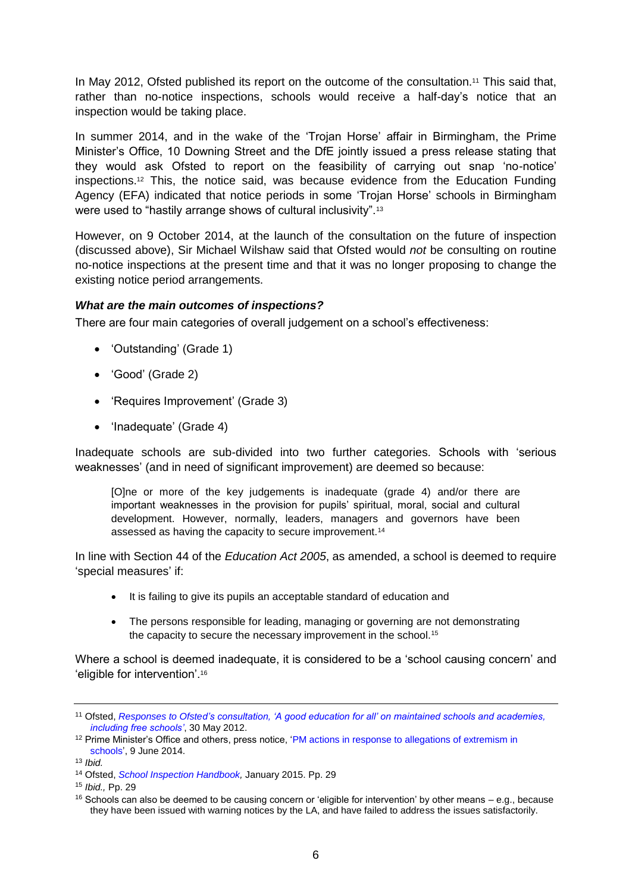In May 2012, Ofsted published its report on the outcome of the consultation.<sup>11</sup> This said that, rather than no-notice inspections, schools would receive a half-day's notice that an inspection would be taking place.

In summer 2014, and in the wake of the 'Trojan Horse' affair in Birmingham, the Prime Minister's Office, 10 Downing Street and the DfE jointly issued a press release stating that they would ask Ofsted to report on the feasibility of carrying out snap 'no-notice' inspections.<sup>12</sup> This, the notice said, was because evidence from the Education Funding Agency (EFA) indicated that notice periods in some 'Trojan Horse' schools in Birmingham were used to "hastily arrange shows of cultural inclusivity".<sup>13</sup>

However, on 9 October 2014, at the launch of the consultation on the future of inspection (discussed above), Sir Michael Wilshaw said that Ofsted would *not* be consulting on routine no-notice inspections at the present time and that it was no longer proposing to change the existing notice period arrangements.

# <span id="page-5-0"></span>*What are the main outcomes of inspections?*

There are four main categories of overall judgement on a school's effectiveness:

- 'Outstanding' (Grade 1)
- 'Good' (Grade 2)
- 'Requires Improvement' (Grade 3)
- 'Inadequate' (Grade 4)

Inadequate schools are sub-divided into two further categories. Schools with 'serious weaknesses' (and in need of significant improvement) are deemed so because:

[O]ne or more of the key judgements is inadequate (grade 4) and/or there are important weaknesses in the provision for pupils' spiritual, moral, social and cultural development. However, normally, leaders, managers and governors have been assessed as having the capacity to secure improvement.<sup>14</sup>

In line with Section 44 of the *Education Act 2005*, as amended, a school is deemed to require 'special measures' if:

- It is failing to give its pupils an acceptable standard of education and
- The persons responsible for leading, managing or governing are not demonstrating the capacity to secure the necessary improvement in the school.<sup>15</sup>

Where a school is deemed inadequate, it is considered to be a 'school causing concern' and 'eligible for intervention'.<sup>16</sup>

<sup>11</sup> Ofsted, *[Responses to Ofsted's consultation, 'A good education for all' on maintained schools and academies,](http://webarchive.nationalarchives.gov.uk/20141124154759/http:/www.ofsted.gov.uk/resources/120067)  [including free schools'](http://webarchive.nationalarchives.gov.uk/20141124154759/http:/www.ofsted.gov.uk/resources/120067)*, 30 May 2012.

<sup>&</sup>lt;sup>12</sup> Prime Minister's Office and others, press notice, 'PM actions in response to allegations of extremism in [schools',](https://www.gov.uk/government/news/pm-actions-in-response-to-allegations-of-extremism-in-schools) 9 June 2014.

<sup>13</sup> *Ibid.* 

<sup>14</sup> Ofsted, *[School Inspection Handbook,](https://www.gov.uk/government/uploads/system/uploads/attachment_data/file/391531/School_inspection_handbook.pdf)* January 2015. Pp. 29

<sup>15</sup> *Ibid.,* Pp. 29

<sup>&</sup>lt;sup>16</sup> Schools can also be deemed to be causing concern or 'eligible for intervention' by other means  $-$  e.g., because they have been issued with warning notices by the LA, and have failed to address the issues satisfactorily.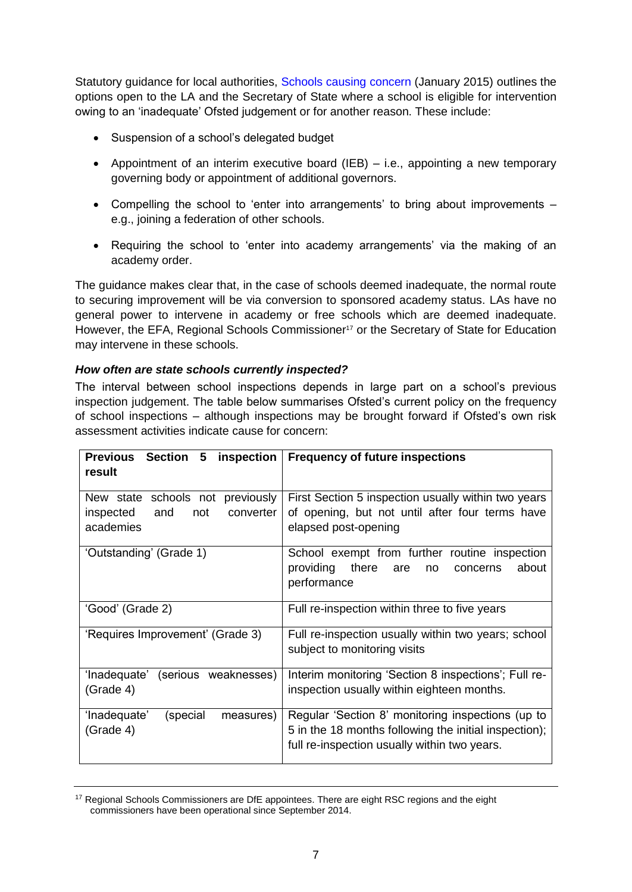Statutory guidance for local authorities, [Schools causing concern](https://www.gov.uk/government/uploads/system/uploads/attachment_data/file/306946/SCC_guidance_May2014_FINAL.pdf) (January 2015) outlines the options open to the LA and the Secretary of State where a school is eligible for intervention owing to an 'inadequate' Ofsted judgement or for another reason. These include:

- Suspension of a school's delegated budget
- Appointment of an interim executive board (IEB) i.e., appointing a new temporary governing body or appointment of additional governors.
- Compelling the school to 'enter into arrangements' to bring about improvements e.g., joining a federation of other schools.
- Requiring the school to 'enter into academy arrangements' via the making of an academy order.

The guidance makes clear that, in the case of schools deemed inadequate, the normal route to securing improvement will be via conversion to sponsored academy status. LAs have no general power to intervene in academy or free schools which are deemed inadequate. However, the EFA, Regional Schools Commissioner<sup>17</sup> or the Secretary of State for Education may intervene in these schools.

## <span id="page-6-0"></span>*How often are state schools currently inspected?*

The interval between school inspections depends in large part on a school's previous inspection judgement. The table below summarises Ofsted's current policy on the frequency of school inspections – although inspections may be brought forward if Ofsted's own risk assessment activities indicate cause for concern:

| Previous Section 5 inspection<br>result                                               | <b>Frequency of future inspections</b>                                                                                                                     |
|---------------------------------------------------------------------------------------|------------------------------------------------------------------------------------------------------------------------------------------------------------|
| New state schools not previously<br>inspected<br>and<br>converter<br>not<br>academies | First Section 5 inspection usually within two years<br>of opening, but not until after four terms have<br>elapsed post-opening                             |
| 'Outstanding' (Grade 1)                                                               | School exempt from further routine inspection<br>providing<br>there<br>about<br>are<br>no<br>concerns<br>performance                                       |
| 'Good' (Grade 2)                                                                      | Full re-inspection within three to five years                                                                                                              |
| 'Requires Improvement' (Grade 3)                                                      | Full re-inspection usually within two years; school<br>subject to monitoring visits                                                                        |
| 'Inadequate'<br>(serious weaknesses)<br>(Grade 4)                                     | Interim monitoring 'Section 8 inspections'; Full re-<br>inspection usually within eighteen months.                                                         |
| 'Inadequate'<br>(special<br>measures)<br>(Grade 4)                                    | Regular 'Section 8' monitoring inspections (up to<br>5 in the 18 months following the initial inspection);<br>full re-inspection usually within two years. |

<sup>&</sup>lt;sup>17</sup> Regional Schools Commissioners are DfE appointees. There are eight RSC regions and the eight commissioners have been operational since September 2014.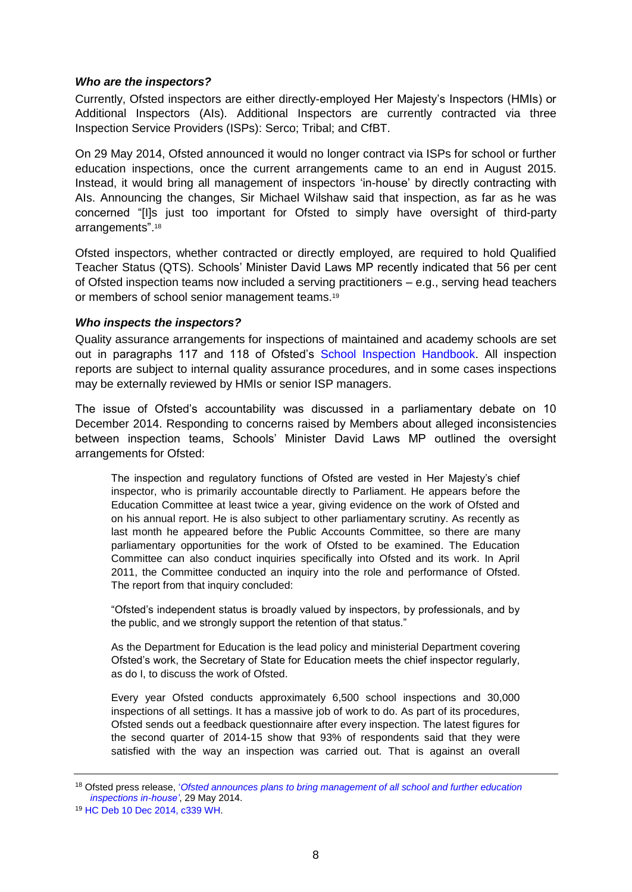#### <span id="page-7-0"></span>*Who are the inspectors?*

Currently, Ofsted inspectors are either directly-employed Her Majesty's Inspectors (HMIs) or Additional Inspectors (AIs). Additional Inspectors are currently contracted via three Inspection Service Providers (ISPs): Serco; Tribal; and CfBT.

On 29 May 2014, Ofsted announced it would no longer contract via ISPs for school or further education inspections, once the current arrangements came to an end in August 2015. Instead, it would bring all management of inspectors 'in-house' by directly contracting with AIs. Announcing the changes, Sir Michael Wilshaw said that inspection, as far as he was concerned "[I]s just too important for Ofsted to simply have oversight of third-party arrangements".<sup>18</sup>

Ofsted inspectors, whether contracted or directly employed, are required to hold Qualified Teacher Status (QTS). Schools' Minister David Laws MP recently indicated that 56 per cent of Ofsted inspection teams now included a serving practitioners – e.g., serving head teachers or members of school senior management teams.<sup>19</sup>

#### <span id="page-7-1"></span>*Who inspects the inspectors?*

Quality assurance arrangements for inspections of maintained and academy schools are set out in paragraphs 117 and 118 of Ofsted's [School Inspection Handbook.](https://www.gov.uk/government/publications/school-inspection-handbook) All inspection reports are subject to internal quality assurance procedures, and in some cases inspections may be externally reviewed by HMIs or senior ISP managers.

The issue of Ofsted's accountability was discussed in a parliamentary debate on 10 December 2014. Responding to concerns raised by Members about alleged inconsistencies between inspection teams, Schools' Minister David Laws MP outlined the oversight arrangements for Ofsted:

The inspection and regulatory functions of Ofsted are vested in Her Majesty's chief inspector, who is primarily accountable directly to Parliament. He appears before the Education Committee at least twice a year, giving evidence on the work of Ofsted and on his annual report. He is also subject to other parliamentary scrutiny. As recently as last month he appeared before the Public Accounts Committee, so there are many parliamentary opportunities for the work of Ofsted to be examined. The Education Committee can also conduct inquiries specifically into Ofsted and its work. In April 2011, the Committee conducted an inquiry into the role and performance of Ofsted. The report from that inquiry concluded:

"Ofsted's independent status is broadly valued by inspectors, by professionals, and by the public, and we strongly support the retention of that status."

As the Department for Education is the lead policy and ministerial Department covering Ofsted's work, the Secretary of State for Education meets the chief inspector regularly, as do I, to discuss the work of Ofsted.

Every year Ofsted conducts approximately 6,500 school inspections and 30,000 inspections of all settings. It has a massive job of work to do. As part of its procedures, Ofsted sends out a feedback questionnaire after every inspection. The latest figures for the second quarter of 2014-15 show that 93% of respondents said that they were satisfied with the way an inspection was carried out. That is against an overall

<sup>18</sup> Ofsted press release, '*[Ofsted announces plans to bring management of all school and further education](https://www.gov.uk/government/news/plans-to-manage-school-and-further-education-inspections-in-house)  [inspections in-house'](https://www.gov.uk/government/news/plans-to-manage-school-and-further-education-inspections-in-house)*, 29 May 2014.

<sup>19</sup> [HC Deb 10 Dec 2014, c339 WH.](http://www.publications.parliament.uk/pa/cm201415/cmhansrd/cm141210/halltext/141210h0002.htm#14121049000054)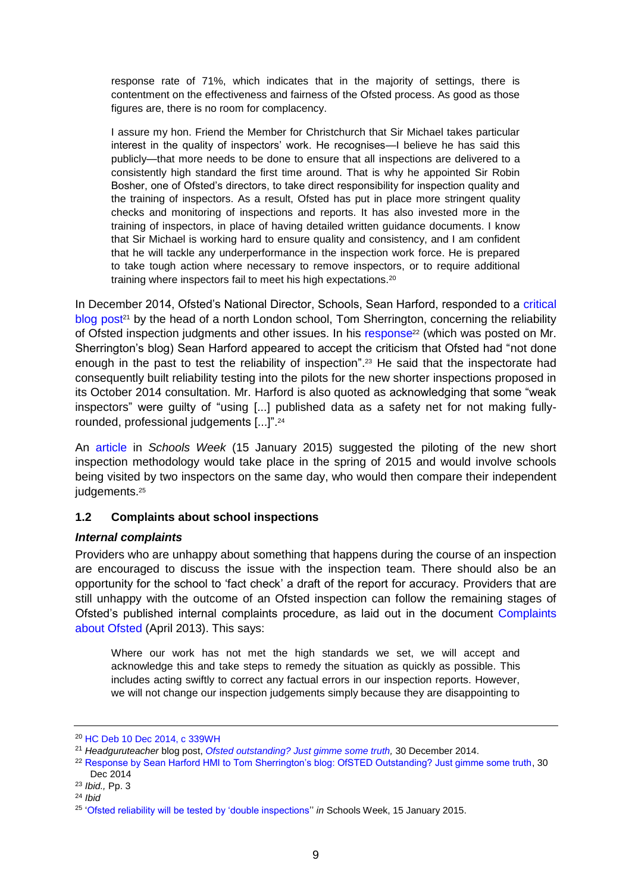response rate of 71%, which indicates that in the majority of settings, there is contentment on the effectiveness and fairness of the Ofsted process. As good as those figures are, there is no room for complacency.

I assure my hon. Friend the Member for Christchurch that Sir Michael takes particular interest in the quality of inspectors' work. He recognises—I believe he has said this publicly—that more needs to be done to ensure that all inspections are delivered to a consistently high standard the first time around. That is why he appointed Sir Robin Bosher, one of Ofsted's directors, to take direct responsibility for inspection quality and the training of inspectors. As a result, Ofsted has put in place more stringent quality checks and monitoring of inspections and reports. It has also invested more in the training of inspectors, in place of having detailed written guidance documents. I know that Sir Michael is working hard to ensure quality and consistency, and I am confident that he will tackle any underperformance in the inspection work force. He is prepared to take tough action where necessary to remove inspectors, or to require additional training where inspectors fail to meet his high expectations.<sup>20</sup>

In December 2014, Ofsted's National Director, Schools, Sean Harford, responded to a [critical](http://headguruteacher.com/2014/12/30/ofsted-outstanding-just-gimme-some-truth/)  [blog post](http://headguruteacher.com/2014/12/30/ofsted-outstanding-just-gimme-some-truth/)<sup>21</sup> by the head of a north London school, Tom Sherrington, concerning the reliability of Ofsted inspection judgments and other issues. In his [response](http://ow.ly/d/2Qpy)<sup>22</sup> (which was posted on Mr. Sherrington's blog) Sean Harford appeared to accept the criticism that Ofsted had "not done enough in the past to test the reliability of inspection". <sup>23</sup> He said that the inspectorate had consequently built reliability testing into the pilots for the new shorter inspections proposed in its October 2014 consultation. Mr. Harford is also quoted as acknowledging that some "weak inspectors" were guilty of "using [...] published data as a safety net for not making fullyrounded, professional judgements [...]".<sup>24</sup>

An [article](http://schoolsweek.co.uk/coming-soon-ofsted-double-inspections/) in *Schools Week* (15 January 2015) suggested the piloting of the new short inspection methodology would take place in the spring of 2015 and would involve schools being visited by two inspectors on the same day, who would then compare their independent judgements. 25

# <span id="page-8-0"></span>**1.2 Complaints about school inspections**

## <span id="page-8-1"></span>*Internal complaints*

Providers who are unhappy about something that happens during the course of an inspection are encouraged to discuss the issue with the inspection team. There should also be an opportunity for the school to 'fact check' a draft of the report for accuracy. Providers that are still unhappy with the outcome of an Ofsted inspection can follow the remaining stages of Ofsted's published internal complaints procedure, as laid out in the document [Complaints](https://www.gov.uk/government/publications/complaints-about-ofsted)  [about Ofsted](https://www.gov.uk/government/publications/complaints-about-ofsted) (April 2013). This says:

Where our work has not met the high standards we set, we will accept and acknowledge this and take steps to remedy the situation as quickly as possible. This includes acting swiftly to correct any factual errors in our inspection reports. However, we will not change our inspection judgements simply because they are disappointing to

<sup>20</sup> [HC Deb 10 Dec 2014, c 339WH](http://www.publications.parliament.uk/pa/cm201415/cmhansrd/cm141210/halltext/141210h0002.htm#14121049000054)

<sup>21</sup> *Headguruteacher* blog post, *[Ofsted outstanding? Just gimme some truth,](http://headguruteacher.com/2014/12/30/ofsted-outstanding-just-gimme-some-truth/)* 30 December 2014.

<sup>&</sup>lt;sup>22</sup> [Response by Sean Harford HMI to Tom Sherrington's blog: OfSTED Outstanding? Just gimme some truth,](http://headguruteacher.com/2014/12/30/ofsted-outstanding-just-gimme-some-truth/) 30 Dec 2014

<sup>23</sup> *Ibid.,* Pp. 3

<sup>24</sup> *Ibid*

<sup>25</sup> ['Ofsted reliability will be tested by 'double inspections''](http://schoolsweek.co.uk/coming-soon-ofsted-double-inspections/) *in* Schools Week, 15 January 2015.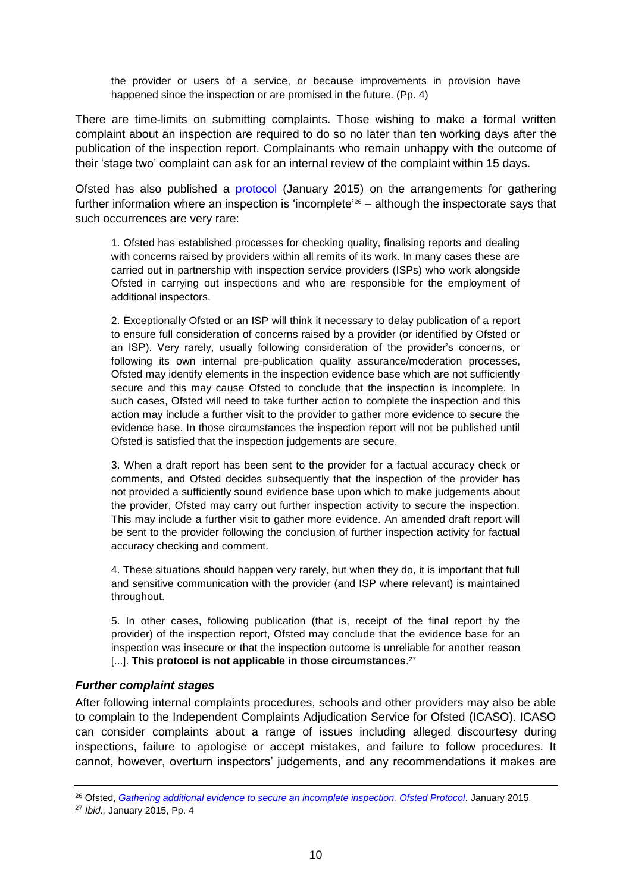the provider or users of a service, or because improvements in provision have happened since the inspection or are promised in the future. (Pp. 4)

There are time-limits on submitting complaints. Those wishing to make a formal written complaint about an inspection are required to do so no later than ten working days after the publication of the inspection report. Complainants who remain unhappy with the outcome of their 'stage two' complaint can ask for an internal review of the complaint within 15 days.

Ofsted has also published a [protocol](http://www.ofsted.gov.uk/sites/default/files/documents/inspection--forms-and-guides/f/Flawed%20inspections%20protocol.pdf) (January 2015) on the arrangements for gathering further information where an inspection is 'incomplete'<sup>26</sup> – although the inspectorate says that such occurrences are very rare:

1. Ofsted has established processes for checking quality, finalising reports and dealing with concerns raised by providers within all remits of its work. In many cases these are carried out in partnership with inspection service providers (ISPs) who work alongside Ofsted in carrying out inspections and who are responsible for the employment of additional inspectors.

2. Exceptionally Ofsted or an ISP will think it necessary to delay publication of a report to ensure full consideration of concerns raised by a provider (or identified by Ofsted or an ISP). Very rarely, usually following consideration of the provider's concerns, or following its own internal pre-publication quality assurance/moderation processes, Ofsted may identify elements in the inspection evidence base which are not sufficiently secure and this may cause Ofsted to conclude that the inspection is incomplete. In such cases, Ofsted will need to take further action to complete the inspection and this action may include a further visit to the provider to gather more evidence to secure the evidence base. In those circumstances the inspection report will not be published until Ofsted is satisfied that the inspection judgements are secure.

3. When a draft report has been sent to the provider for a factual accuracy check or comments, and Ofsted decides subsequently that the inspection of the provider has not provided a sufficiently sound evidence base upon which to make judgements about the provider, Ofsted may carry out further inspection activity to secure the inspection. This may include a further visit to gather more evidence. An amended draft report will be sent to the provider following the conclusion of further inspection activity for factual accuracy checking and comment.

4. These situations should happen very rarely, but when they do, it is important that full and sensitive communication with the provider (and ISP where relevant) is maintained throughout.

5. In other cases, following publication (that is, receipt of the final report by the provider) of the inspection report, Ofsted may conclude that the evidence base for an inspection was insecure or that the inspection outcome is unreliable for another reason [...]. **This protocol is not applicable in those circumstances**. 27

#### <span id="page-9-0"></span>*Further complaint stages*

After following internal complaints procedures, schools and other providers may also be able to complain to the Independent Complaints Adjudication Service for Ofsted (ICASO). ICASO can consider complaints about a range of issues including alleged discourtesy during inspections, failure to apologise or accept mistakes, and failure to follow procedures. It cannot, however, overturn inspectors' judgements, and any recommendations it makes are

<sup>26</sup> Ofsted, *[Gathering additional evidence to secure an incomplete inspection. Ofsted Protocol.](https://www.gov.uk/government/uploads/system/uploads/attachment_data/file/390001/Gathering_additional_evidence_to_secure_an_incomplete_inspection.pdf)* January 2015.

<sup>27</sup> *Ibid.,* January 2015, Pp. 4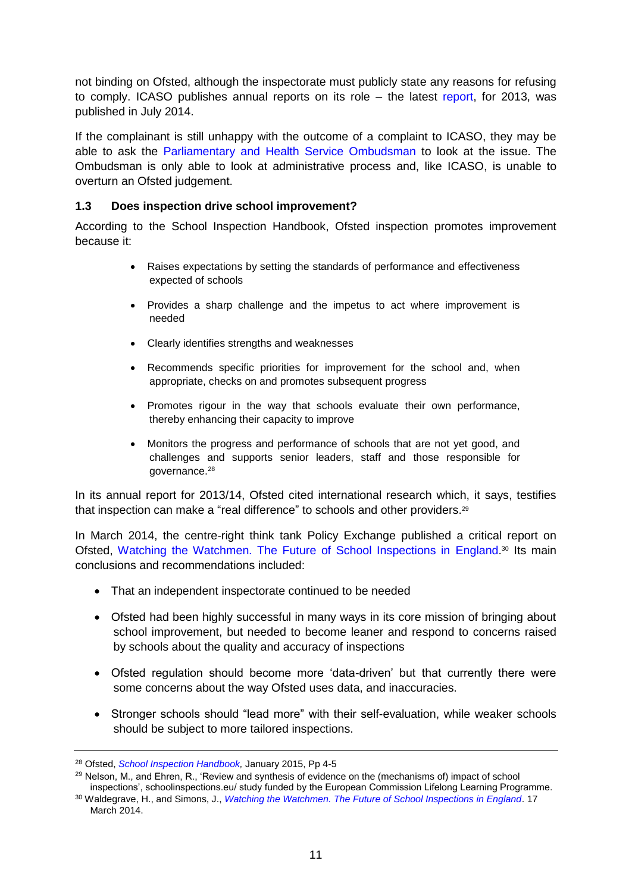not binding on Ofsted, although the inspectorate must publicly state any reasons for refusing to comply. ICASO publishes annual reports on its role – the latest [report,](http://www.cedr.com/docslib/ICASO_Annual_Report_2013.pdf) for 2013, was published in July 2014.

If the complainant is still unhappy with the outcome of a complaint to ICASO, they may be able to ask the [Parliamentary and Health Service Ombudsman](http://www.ombudsman.org.uk/) to look at the issue. The Ombudsman is only able to look at administrative process and, like ICASO, is unable to overturn an Ofsted judgement.

# <span id="page-10-0"></span>**1.3 Does inspection drive school improvement?**

According to the School Inspection Handbook, Ofsted inspection promotes improvement because it:

- Raises expectations by setting the standards of performance and effectiveness expected of schools
- Provides a sharp challenge and the impetus to act where improvement is needed
- Clearly identifies strengths and weaknesses
- Recommends specific priorities for improvement for the school and, when appropriate, checks on and promotes subsequent progress
- Promotes rigour in the way that schools evaluate their own performance, thereby enhancing their capacity to improve
- Monitors the progress and performance of schools that are not yet good, and challenges and supports senior leaders, staff and those responsible for governance.<sup>28</sup>

In its annual report for 2013/14, Ofsted cited international research which, it says, testifies that inspection can make a "real difference" to schools and other providers.<sup>29</sup>

In March 2014, the centre-right think tank Policy Exchange published a critical report on Ofsted, [Watching the Watchmen. The Future of School Inspections in England.](http://www.policyexchange.org.uk/publications/category/item/watching-the-watchmen-the-future-of-school-inspections-in-england)<sup>30</sup> Its main conclusions and recommendations included:

- That an independent inspectorate continued to be needed
- Ofsted had been highly successful in many ways in its core mission of bringing about school improvement, but needed to become leaner and respond to concerns raised by schools about the quality and accuracy of inspections
- Ofsted regulation should become more 'data-driven' but that currently there were some concerns about the way Ofsted uses data, and inaccuracies.
- Stronger schools should "lead more" with their self-evaluation, while weaker schools should be subject to more tailored inspections.

<sup>28</sup> Ofsted, *[School Inspection Handbook,](https://www.gov.uk/government/uploads/system/uploads/attachment_data/file/391531/School_inspection_handbook.pdf)* January 2015, Pp 4-5

 $^{29}$  Nelson, M., and Ehren, R., 'Review and synthesis of evidence on the (mechanisms of) impact of school inspections', schoolinspections.eu/ study funded by the European Commission Lifelong Learning Programme.

<sup>30</sup> Waldegrave, H., and Simons, J., *[Watching the Watchmen. The Future of School Inspections in England](http://www.policyexchange.org.uk/images/publications/watching%20the%20watchmen.pdf)*. 17 March 2014.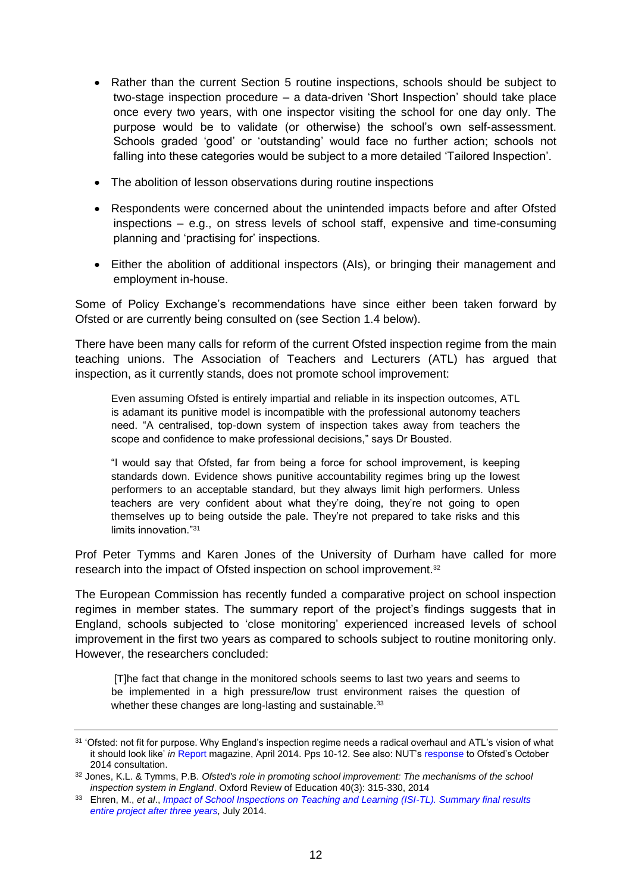- Rather than the current Section 5 routine inspections, schools should be subject to two-stage inspection procedure – a data-driven 'Short Inspection' should take place once every two years, with one inspector visiting the school for one day only. The purpose would be to validate (or otherwise) the school's own self-assessment. Schools graded 'good' or 'outstanding' would face no further action; schools not falling into these categories would be subject to a more detailed 'Tailored Inspection'.
- The abolition of lesson observations during routine inspections
- Respondents were concerned about the unintended impacts before and after Ofsted inspections – e.g., on stress levels of school staff, expensive and time-consuming planning and 'practising for' inspections.
- Either the abolition of additional inspectors (AIs), or bringing their management and employment in-house.

Some of Policy Exchange's recommendations have since either been taken forward by Ofsted or are currently being consulted on (see Section 1.4 below).

There have been many calls for reform of the current Ofsted inspection regime from the main teaching unions. The Association of Teachers and Lecturers (ATL) has argued that inspection, as it currently stands, does not promote school improvement:

Even assuming Ofsted is entirely impartial and reliable in its inspection outcomes, ATL is adamant its punitive model is incompatible with the professional autonomy teachers need. "A centralised, top-down system of inspection takes away from teachers the scope and confidence to make professional decisions," says Dr Bousted.

"I would say that Ofsted, far from being a force for school improvement, is keeping standards down. Evidence shows punitive accountability regimes bring up the lowest performers to an acceptable standard, but they always limit high performers. Unless teachers are very confident about what they're doing, they're not going to open themselves up to being outside the pale. They're not prepared to take risks and this limits innovation."<sup>31</sup>

Prof Peter Tymms and Karen Jones of the University of Durham have called for more research into the impact of Ofsted inspection on school improvement.<sup>32</sup>

The European Commission has recently funded a comparative project on school inspection regimes in member states. The summary report of the project's findings suggests that in England, schools subjected to 'close monitoring' experienced increased levels of school improvement in the first two years as compared to schools subject to routine monitoring only. However, the researchers concluded:

[T]he fact that change in the monitored schools seems to last two years and seems to be implemented in a high pressure/low trust environment raises the question of whether these changes are long-lasting and sustainable.<sup>33</sup>

<sup>31</sup> 'Ofsted: not fit for purpose. Why England's inspection regime needs a radical overhaul and ATL's vision of what it should look like' *in* [Report](http://www.atl.org.uk/Images/atl-report-april-2014.pdf) magazine, April 2014. Pps 10-12. See also: NUT's [response](http://www.teachers.org.uk/node/22944) to Ofsted's October 2014 consultation.

<sup>32</sup> Jones, K.L. & Tymms, P.B. *Ofsted's role in promoting school improvement: The mechanisms of the school inspection system in England*. Oxford Review of Education 40(3): 315-330, 2014

<sup>33</sup> Ehren, M., *et al*., *[Impact of School Inspections on Teaching and Learning \(ISI-TL\). Summary final results](http://schoolinspections.eu/impact/final-results-entire-project-after-three-years/)  [entire project after three years,](http://schoolinspections.eu/impact/final-results-entire-project-after-three-years/)* July 2014.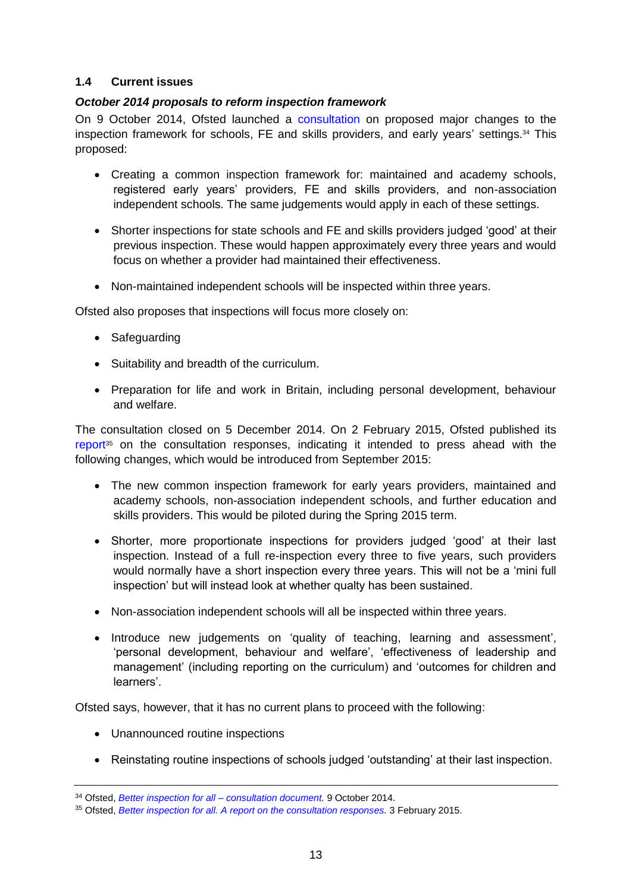# <span id="page-12-0"></span>**1.4 Current issues**

# <span id="page-12-1"></span>*October 2014 proposals to reform inspection framework*

On 9 October 2014, Ofsted launched a [consultation](https://www.gov.uk/government/consultations/better-inspection-for-all) on proposed major changes to the inspection framework for schools, FE and skills providers, and early years' settings.<sup>34</sup> This proposed:

- Creating a common inspection framework for: maintained and academy schools, registered early years' providers, FE and skills providers, and non-association independent schools. The same judgements would apply in each of these settings.
- Shorter inspections for state schools and FE and skills providers judged 'good' at their previous inspection. These would happen approximately every three years and would focus on whether a provider had maintained their effectiveness.
- Non-maintained independent schools will be inspected within three years.

Ofsted also proposes that inspections will focus more closely on:

- Safeguarding
- Suitability and breadth of the curriculum.
- Preparation for life and work in Britain, including personal development, behaviour and welfare.

The consultation closed on 5 December 2014. On 2 February 2015, Ofsted published its [report](https://www.gov.uk/government/uploads/system/uploads/attachment_data/file/400625/Better_inspection_for_all_consultation_response_FINAL_2_.pdf)<sup>35</sup> on the consultation responses, indicating it intended to press ahead with the following changes, which would be introduced from September 2015:

- The new common inspection framework for early years providers, maintained and academy schools, non-association independent schools, and further education and skills providers. This would be piloted during the Spring 2015 term.
- Shorter, more proportionate inspections for providers judged 'good' at their last inspection. Instead of a full re-inspection every three to five years, such providers would normally have a short inspection every three years. This will not be a 'mini full inspection' but will instead look at whether qualty has been sustained.
- Non-association independent schools will all be inspected within three years.
- Introduce new judgements on 'quality of teaching, learning and assessment', 'personal development, behaviour and welfare', 'effectiveness of leadership and management' (including reporting on the curriculum) and 'outcomes for children and learners'.

Ofsted says, however, that it has no current plans to proceed with the following:

- Unannounced routine inspections
- Reinstating routine inspections of schools judged 'outstanding' at their last inspection.

<sup>34</sup> Ofsted, *[Better inspection for all –](https://www.gov.uk/government/consultations/better-inspection-for-all) consultation document.* 9 October 2014.

<sup>35</sup> Ofsted, *[Better inspection for all. A report on the consultation responses.](https://www.gov.uk/government/uploads/system/uploads/attachment_data/file/400625/Better_inspection_for_all_consultation_response_FINAL_2_.pdf)* 3 February 2015.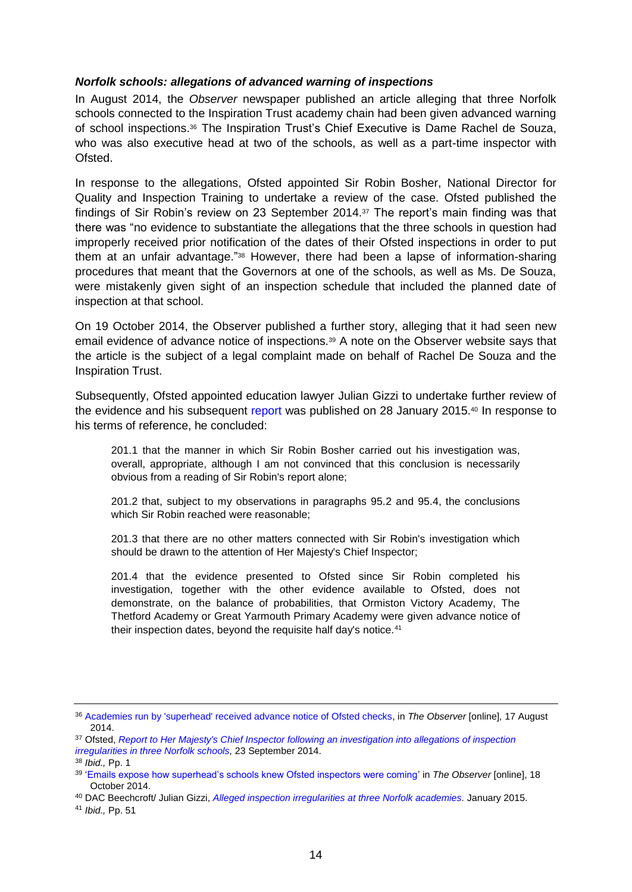#### <span id="page-13-0"></span>*Norfolk schools: allegations of advanced warning of inspections*

In August 2014, the *Observer* newspaper published an article alleging that three Norfolk schools connected to the Inspiration Trust academy chain had been given advanced warning of school inspections.<sup>36</sup> The Inspiration Trust's Chief Executive is Dame Rachel de Souza, who was also executive head at two of the schools, as well as a part-time inspector with Ofsted.

In response to the allegations, Ofsted appointed Sir Robin Bosher, National Director for Quality and Inspection Training to undertake a review of the case. Ofsted published the findings of Sir Robin's review on 23 September 2014.<sup>37</sup> The report's main finding was that there was "no evidence to substantiate the allegations that the three schools in question had improperly received prior notification of the dates of their Ofsted inspections in order to put them at an unfair advantage."<sup>38</sup> However, there had been a lapse of information-sharing procedures that meant that the Governors at one of the schools, as well as Ms. De Souza, were mistakenly given sight of an inspection schedule that included the planned date of inspection at that school.

On 19 October 2014, the Observer published a further story, alleging that it had seen new email evidence of advance notice of inspections.<sup>39</sup> A note on the Observer website says that the article is the subject of a legal complaint made on behalf of Rachel De Souza and the Inspiration Trust.

Subsequently, Ofsted appointed education lawyer Julian Gizzi to undertake further review of the evidence and his subsequent [report](https://www.gov.uk/government/publications/review-of-alleged-inspection-irregularities-at-three-norfolk-academies-dac-beachcroft-llp) was published on 28 January 2015.<sup>40</sup> In response to his terms of reference, he concluded:

201.1 that the manner in which Sir Robin Bosher carried out his investigation was, overall, appropriate, although I am not convinced that this conclusion is necessarily obvious from a reading of Sir Robin's report alone;

201.2 that, subject to my observations in paragraphs 95.2 and 95.4, the conclusions which Sir Robin reached were reasonable;

201.3 that there are no other matters connected with Sir Robin's investigation which should be drawn to the attention of Her Majesty's Chief Inspector;

201.4 that the evidence presented to Ofsted since Sir Robin completed his investigation, together with the other evidence available to Ofsted, does not demonstrate, on the balance of probabilities, that Ormiston Victory Academy, The Thetford Academy or Great Yarmouth Primary Academy were given advance notice of their inspection dates, beyond the requisite half day's notice.<sup>41</sup>

<sup>41</sup> *Ibid.,* Pp. 51

<sup>36</sup> [Academies run by 'superhead' received advance notice of Ofsted checks,](http://www.theguardian.com/education/2014/oct/18/emails-academies-ofsted-inspectors-rachel-de-souza) in *The Observer* [online]*,* 17 August 2014.

<sup>37</sup> Ofsted, *[Report to Her Majesty's Chief Inspector following an investigation into allegations of inspection](http://webarchive.nationalarchives.gov.uk/20141124154759/http:/www.ofsted.gov.uk/resources/report-her-majestys-chief-inspector-following-investigation-allegations-of-inspection-irregularities)  [irregularities in three Norfolk schools,](http://webarchive.nationalarchives.gov.uk/20141124154759/http:/www.ofsted.gov.uk/resources/report-her-majestys-chief-inspector-following-investigation-allegations-of-inspection-irregularities)* 23 September 2014.

<sup>38</sup> *Ibid.,* Pp. 1

<sup>39</sup> ['Emails expose how superhead's schools knew Ofsted inspectors were coming'](http://www.theguardian.com/education/2014/oct/18/emails-academies-ofsted-inspectors-rachel-de-souza) in *The Observer* [online], 18 October 2014.

<sup>40</sup> DAC Beechcroft/ Julian Gizzi, *[Alleged inspection irregularities at three Norfolk academies.](https://www.gov.uk/government/uploads/system/uploads/attachment_data/file/398260/Alleged_inspection_irregularities_at_three_Norfolk_academies_A_review_by_Julian_Gizzi.pdf)* January 2015.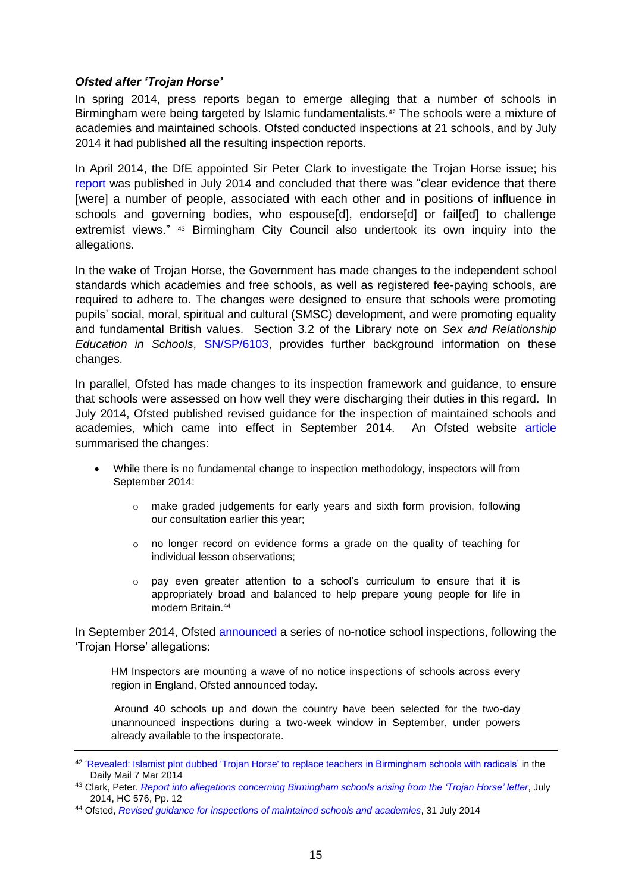# <span id="page-14-0"></span>*Ofsted after 'Trojan Horse'*

In spring 2014, press reports began to emerge alleging that a number of schools in Birmingham were being targeted by Islamic fundamentalists.<sup>42</sup> The schools were a mixture of academies and maintained schools. Ofsted conducted inspections at 21 schools, and by July 2014 it had published all the resulting inspection reports.

In April 2014, the DfE appointed Sir Peter Clark to investigate the Trojan Horse issue; his [report](https://www.gov.uk/government/uploads/system/uploads/attachment_data/file/340526/HC_576_accessible_-.pdf) was published in July 2014 and concluded that there was "clear evidence that there [were] a number of people, associated with each other and in positions of influence in schools and governing bodies, who espouse[d], endorse[d] or fail[ed] to challenge extremist views." <sup>43</sup> Birmingham City Council also undertook its own inquiry into the allegations.

In the wake of Trojan Horse, the Government has made changes to the independent school standards which academies and free schools, as well as registered fee-paying schools, are required to adhere to. The changes were designed to ensure that schools were promoting pupils' social, moral, spiritual and cultural (SMSC) development, and were promoting equality and fundamental British values. Section 3.2 of the Library note on *Sex and Relationship Education in Schools*, [SN/SP/6103,](http://www.parliament.uk/briefing-papers/SN06103/sex-and-relationship-education-in-schools) provides further background information on these changes.

In parallel, Ofsted has made changes to its inspection framework and guidance, to ensure that schools were assessed on how well they were discharging their duties in this regard. In July 2014, Ofsted published revised guidance for the inspection of maintained schools and academies, which came into effect in September 2014. An Ofsted website [article](http://www.ofsted.gov.uk/news/revised-guidance-for-inspections-of-maintained-schools-and-academies) summarised the changes:

- While there is no fundamental change to inspection methodology, inspectors will from September 2014:
	- $\circ$  make graded judgements for early years and sixth form provision, following our consultation earlier this year;
	- $\circ$  no longer record on evidence forms a grade on the quality of teaching for individual lesson observations;
	- $\circ$  pay even greater attention to a school's curriculum to ensure that it is appropriately broad and balanced to help prepare young people for life in modern Britain.<sup>44</sup>

In September 2014, Ofsted [announced](http://www.ofsted.gov.uk/news/ofsted-begins-series-of-no-notice-school-inspections-0) a series of no-notice school inspections, following the 'Trojan Horse' allegations:

HM Inspectors are mounting a wave of no notice inspections of schools across every region in England, Ofsted announced today.

Around 40 schools up and down the country have been selected for the two-day unannounced inspections during a two-week window in September, under powers already available to the inspectorate.

<sup>&</sup>lt;sup>42</sup> ['Revealed: Islamist plot dubbed 'Trojan Horse' to replace teachers](http://www.dailymail.co.uk/news/article-2575759/Revealed-Islamist-plot-dubbed-Trojan-Horse-string-schools-Birmingham-self-styled-Jihad.html) in Birmingham schools with radicals' in the Daily Mail 7 Mar 2014

<sup>43</sup> Clark, Peter. *[Report into allegations concerning Birmingham schools arising from the 'Trojan Horse' letter](https://www.gov.uk/government/uploads/system/uploads/attachment_data/file/340526/HC_576_accessible_-.pdf)*, July 2014, HC 576, Pp. 12

<sup>44</sup> Ofsted, *[Revised guidance for inspections of maintained schools and academies](http://www.ofsted.gov.uk/news/revised-guidance-for-inspections-of-maintained-schools-and-academies)*, 31 July 2014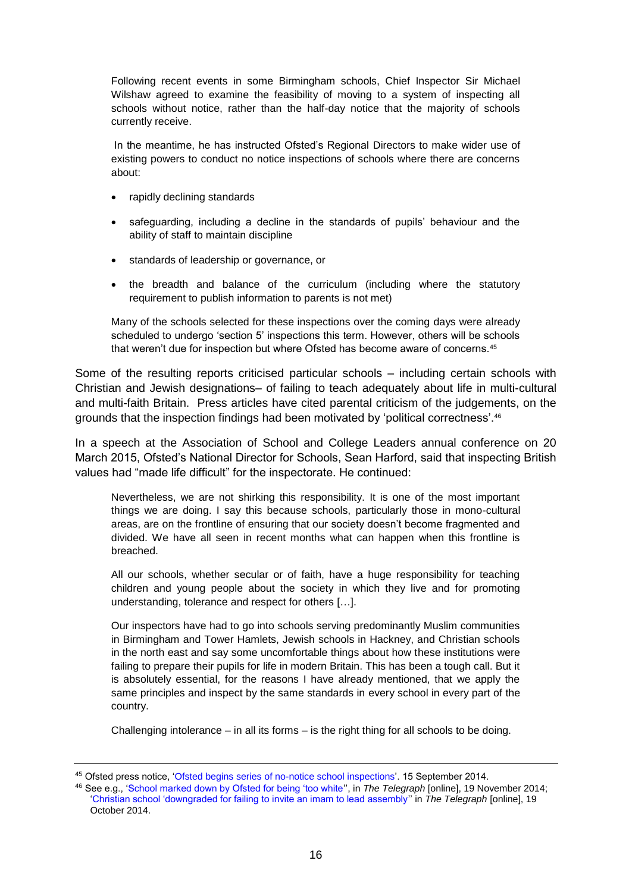Following recent events in some Birmingham schools, Chief Inspector Sir Michael Wilshaw agreed to examine the feasibility of moving to a system of inspecting all schools without notice, rather than the half-day notice that the majority of schools currently receive.

In the meantime, he has instructed Ofsted's Regional Directors to make wider use of existing powers to conduct no notice inspections of schools where there are concerns about:

- rapidly declining standards
- safeguarding, including a decline in the standards of pupils' behaviour and the ability of staff to maintain discipline
- standards of leadership or governance, or
- the breadth and balance of the curriculum (including where the statutory requirement to publish information to parents is not met)

Many of the schools selected for these inspections over the coming days were already scheduled to undergo 'section 5' inspections this term. However, others will be schools that weren't due for inspection but where Ofsted has become aware of concerns.<sup>45</sup>

Some of the resulting reports criticised particular schools – including certain schools with Christian and Jewish designations– of failing to teach adequately about life in multi-cultural and multi-faith Britain. Press articles have cited parental criticism of the judgements, on the grounds that the inspection findings had been motivated by 'political correctness'.<sup>46</sup>

In a speech at the Association of School and College Leaders annual conference on 20 March 2015, Ofsted's National Director for Schools, Sean Harford, said that inspecting British values had "made life difficult" for the inspectorate. He continued:

Nevertheless, we are not shirking this responsibility. It is one of the most important things we are doing. I say this because schools, particularly those in mono-cultural areas, are on the frontline of ensuring that our society doesn't become fragmented and divided. We have all seen in recent months what can happen when this frontline is breached.

All our schools, whether secular or of faith, have a huge responsibility for teaching children and young people about the society in which they live and for promoting understanding, tolerance and respect for others […].

Our inspectors have had to go into schools serving predominantly Muslim communities in Birmingham and Tower Hamlets, Jewish schools in Hackney, and Christian schools in the north east and say some uncomfortable things about how these institutions were failing to prepare their pupils for life in modern Britain. This has been a tough call. But it is absolutely essential, for the reasons I have already mentioned, that we apply the same principles and inspect by the same standards in every school in every part of the country.

Challenging intolerance – in all its forms – is the right thing for all schools to be doing.

<sup>45</sup> Ofsted press notice, ['Ofsted begins series of no-notice school inspections'](https://www.gov.uk/government/news/ofsted-begins-series-of-no-notice-school-inspections). 15 September 2014.

<sup>46</sup> See e.g., ['School marked down by Ofsted for being 'too white''](http://www.telegraph.co.uk/education/educationnews/11240700/School-marked-down-by-Ofsted-for-being-too-white.html), in *The Telegraph* [online], 19 November 2014; ['Christian school 'downgraded for failing to invite an imam to lead assembly''](http://www.telegraph.co.uk/news/religion/11173102/Christian-school-downgraded-for-failing-to-invite-an-imam-to-lead-assembly.html) in *The Telegraph* [online], 19 October 2014.